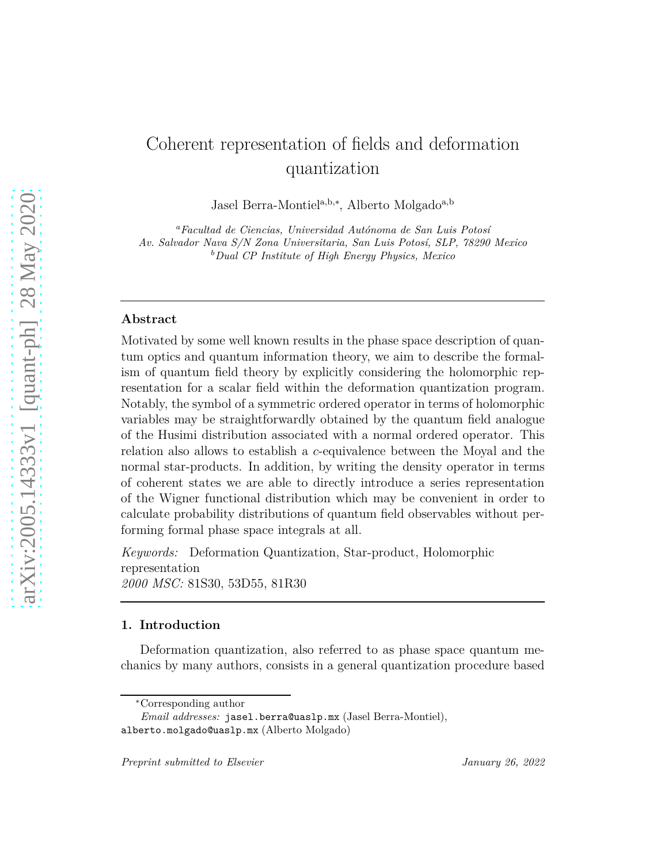# Coherent representation of fields and deformation quantization

Jasel Berra-Montiel<sup>a,b,∗</sup>, Alberto Molgado<sup>a,b</sup>

<sup>a</sup>Facultad de Ciencias, Universidad Autónoma de San Luis Potosí *Av. Salvador Nava S/N Zona Universitaria, San Luis Potos´ı, SLP, 78290 Mexico <sup>b</sup>Dual CP Institute of High Energy Physics, Mexico*

## **Abstract**

Motivated by some well known results in the phase space description of quantum optics and quantum information theory, we aim to describe the formalism of quantum field theory by explicitly considering the holomorphic representation for a scalar field within the deformation quantization program. Notably, the symbol of a symmetric ordered operator in terms of holomorphic variables may be straightforwardly obtained by the quantum field analogue of the Husimi distribution associated with a normal ordered operator. This relation also allows to establish a *c*-equivalence between the Moyal and the normal star-products. In addition, by writing the density operator in terms of coherent states we are able to directly introduce a series representation of the Wigner functional distribution which may be convenient in order to calculate probability distributions of quantum field observables without performing formal phase space integrals at all.

*Keywords:* Deformation Quantization, Star-product, Holomorphic representation *2000 MSC:* 81S30, 53D55, 81R30

## **1. Introduction**

Deformation quantization, also referred to as phase space quantum mechanics by many authors, consists in a general quantization procedure based

<sup>∗</sup>Corresponding author

*Email addresses:* jasel.berra@uaslp.mx (Jasel Berra-Montiel), alberto.molgado@uaslp.mx (Alberto Molgado)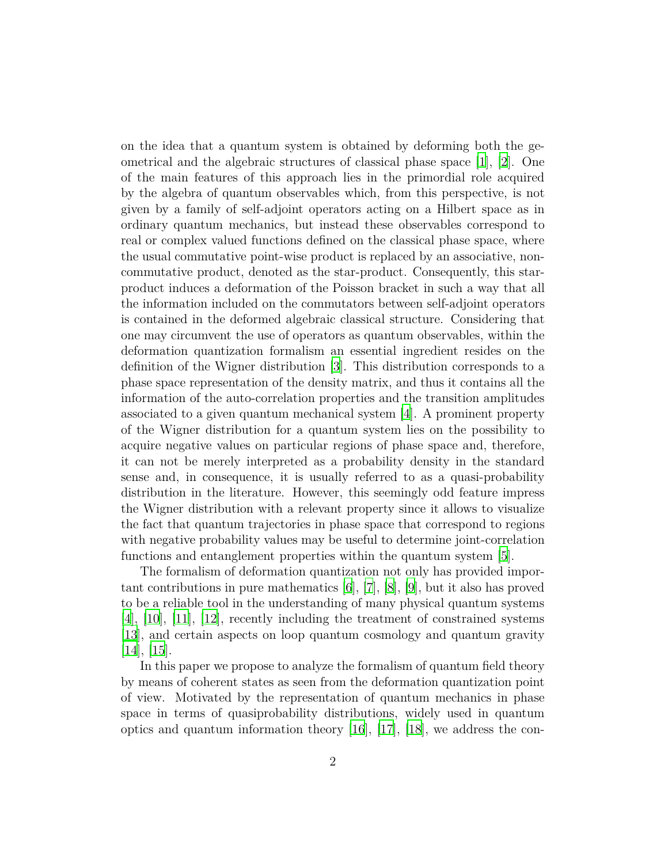on the idea that a quantum system is obtained by deforming both the geometrical and the algebraic structures of classical phase space [\[1](#page-14-0)], [\[2](#page-14-1)]. One of the main features of this approach lies in the primordial role acquired by the algebra of quantum observables which, from this perspective, is not given by a family of self-adjoint operators acting on a Hilbert space as in ordinary quantum mechanics, but instead these observables correspond to real or complex valued functions defined on the classical phase space, where the usual commutative point-wise product is replaced by an associative, noncommutative product, denoted as the star-product. Consequently, this starproduct induces a deformation of the Poisson bracket in such a way that all the information included on the commutators between self-adjoint operators is contained in the deformed algebraic classical structure. Considering that one may circumvent the use of operators as quantum observables, within the deformation quantization formalism an essential ingredient resides on the definition of the Wigner distribution [\[3\]](#page-14-2). This distribution corresponds to a phase space representation of the density matrix, and thus it contains all the information of the auto-correlation properties and the transition amplitudes associated to a given quantum mechanical system [\[4\]](#page-14-3). A prominent property of the Wigner distribution for a quantum system lies on the possibility to acquire negative values on particular regions of phase space and, therefore, it can not be merely interpreted as a probability density in the standard sense and, in consequence, it is usually referred to as a quasi-probability distribution in the literature. However, this seemingly odd feature impress the Wigner distribution with a relevant property since it allows to visualize the fact that quantum trajectories in phase space that correspond to regions with negative probability values may be useful to determine joint-correlation functions and entanglement properties within the quantum system [\[5](#page-15-0)].

The formalism of deformation quantization not only has provided important contributions in pure mathematics [\[6\]](#page-15-1), [\[7\]](#page-15-2), [\[8](#page-15-3)], [\[9](#page-15-4)], but it also has proved to be a reliable tool in the understanding of many physical quantum systems [\[4](#page-14-3)], [\[10](#page-15-5)], [\[11\]](#page-15-6), [\[12\]](#page-15-7), recently including the treatment of constrained systems [\[13\]](#page-15-8), and certain aspects on loop quantum cosmology and quantum gravity  $|14|, |15|.$ 

In this paper we propose to analyze the formalism of quantum field theory by means of coherent states as seen from the deformation quantization point of view. Motivated by the representation of quantum mechanics in phase space in terms of quasiprobability distributions, widely used in quantum optics and quantum information theory  $[16]$ ,  $[17]$ ,  $[18]$ , we address the con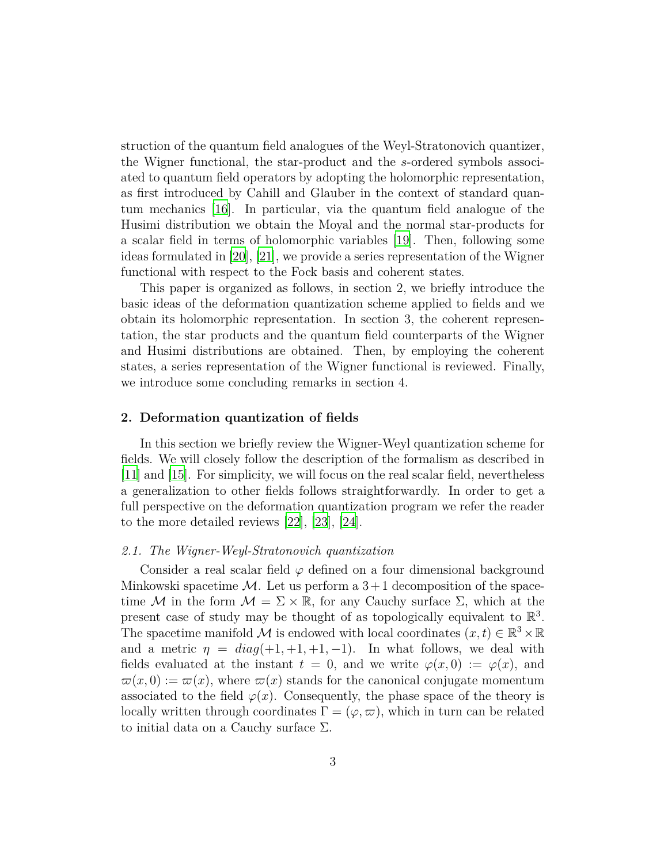struction of the quantum field analogues of the Weyl-Stratonovich quantizer, the Wigner functional, the star-product and the *s*-ordered symbols associated to quantum field operators by adopting the holomorphic representation, as first introduced by Cahill and Glauber in the context of standard quantum mechanics [\[16\]](#page-16-0). In particular, via the quantum field analogue of the Husimi distribution we obtain the Moyal and the normal star-products for a scalar field in terms of holomorphic variables [\[19](#page-16-3)]. Then, following some ideas formulated in [\[20](#page-16-4)], [\[21\]](#page-16-5), we provide a series representation of the Wigner functional with respect to the Fock basis and coherent states.

This paper is organized as follows, in section 2, we briefly introduce the basic ideas of the deformation quantization scheme applied to fields and we obtain its holomorphic representation. In section 3, the coherent representation, the star products and the quantum field counterparts of the Wigner and Husimi distributions are obtained. Then, by employing the coherent states, a series representation of the Wigner functional is reviewed. Finally, we introduce some concluding remarks in section 4.

## **2. Deformation quantization of fields**

In this section we briefly review the Wigner-Weyl quantization scheme for fields. We will closely follow the description of the formalism as described in [\[11\]](#page-15-6) and [\[15\]](#page-15-10). For simplicity, we will focus on the real scalar field, nevertheless a generalization to other fields follows straightforwardly. In order to get a full perspective on the deformation quantization program we refer the reader to the more detailed reviews [\[22](#page-16-6)], [\[23](#page-16-7)], [\[24\]](#page-16-8).

## *2.1. The Wigner-Weyl-Stratonovich quantization*

Consider a real scalar field  $\varphi$  defined on a four dimensional background Minkowski spacetime  $\mathcal{M}$ . Let us perform a  $3+1$  decomposition of the spacetime M in the form  $\mathcal{M} = \Sigma \times \mathbb{R}$ , for any Cauchy surface  $\Sigma$ , which at the present case of study may be thought of as topologically equivalent to  $\mathbb{R}^3$ . The spacetime manifold M is endowed with local coordinates  $(x, t) \in \mathbb{R}^3 \times \mathbb{R}$ and a metric  $\eta = diag(+1, +1, +1, -1)$ . In what follows, we deal with fields evaluated at the instant  $t = 0$ , and we write  $\varphi(x, 0) := \varphi(x)$ , and  $\varpi(x,0) := \varpi(x)$ , where  $\varpi(x)$  stands for the canonical conjugate momentum associated to the field  $\varphi(x)$ . Consequently, the phase space of the theory is locally written through coordinates  $\Gamma = (\varphi, \varpi)$ , which in turn can be related to initial data on a Cauchy surface  $\Sigma$ .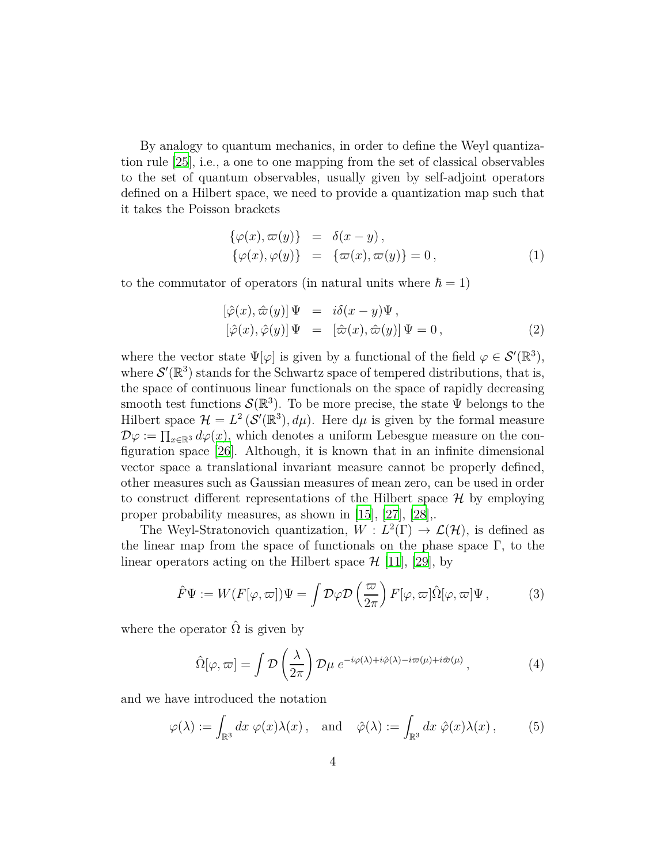By analogy to quantum mechanics, in order to define the Weyl quantization rule [\[25\]](#page-16-9), i.e., a one to one mapping from the set of classical observables to the set of quantum observables, usually given by self-adjoint operators defined on a Hilbert space, we need to provide a quantization map such that it takes the Poisson brackets

<span id="page-3-2"></span>
$$
\begin{aligned}\n\{\varphi(x), \varpi(y)\} &= \delta(x - y), \\
\{\varphi(x), \varphi(y)\} &= \{\varpi(x), \varpi(y)\} = 0,\n\end{aligned} \tag{1}
$$

to the commutator of operators (in natural units where  $\hbar = 1$ )

$$
[\hat{\varphi}(x), \hat{\varpi}(y)] \Psi = i\delta(x - y)\Psi,
$$
  

$$
[\hat{\varphi}(x), \hat{\varphi}(y)] \Psi = [\hat{\varpi}(x), \hat{\varpi}(y)] \Psi = 0,
$$
 (2)

where the vector state  $\Psi[\varphi]$  is given by a functional of the field  $\varphi \in \mathcal{S}'(\mathbb{R}^3)$ , where  $\mathcal{S}'(\mathbb{R}^3)$  stands for the Schwartz space of tempered distributions, that is, the space of continuous linear functionals on the space of rapidly decreasing smooth test functions  $\mathcal{S}(\mathbb{R}^3)$ . To be more precise, the state  $\Psi$  belongs to the Hilbert space  $\mathcal{H} = L^2(\mathcal{S}'(\mathbb{R}^3), d\mu)$ . Here  $d\mu$  is given by the formal measure  $\mathcal{D}\varphi := \prod_{x \in \mathbb{R}^3} d\varphi(x)$ , which denotes a uniform Lebesgue measure on the configuration space [\[26](#page-16-10)]. Although, it is known that in an infinite dimensional vector space a translational invariant measure cannot be properly defined, other measures such as Gaussian measures of mean zero, can be used in order to construct different representations of the Hilbert space  $\mathcal{H}$  by employing proper probability measures, as shown in [\[15](#page-15-10)], [\[27](#page-16-11)], [\[28\]](#page-16-12),.

The Weyl-Stratonovich quantization,  $W: L^2(\Gamma) \to \mathcal{L}(\mathcal{H})$ , is defined as the linear map from the space of functionals on the phase space  $\Gamma$ , to the linear operators acting on the Hilbert space  $\mathcal{H}$  [\[11](#page-15-6)], [\[29\]](#page-17-0), by

$$
\hat{F}\Psi := W(F[\varphi,\varpi])\Psi = \int \mathcal{D}\varphi \mathcal{D}\left(\frac{\varpi}{2\pi}\right) F[\varphi,\varpi] \hat{\Omega}[\varphi,\varpi]\Psi, \tag{3}
$$

where the operator  $\hat{\Omega}$  is given by

<span id="page-3-1"></span><span id="page-3-0"></span>
$$
\hat{\Omega}[\varphi,\varpi] = \int \mathcal{D}\left(\frac{\lambda}{2\pi}\right) \mathcal{D}\mu \ e^{-i\varphi(\lambda) + i\hat{\varphi}(\lambda) - i\varpi(\mu) + i\hat{\varpi}(\mu)},\tag{4}
$$

and we have introduced the notation

$$
\varphi(\lambda) := \int_{\mathbb{R}^3} dx \, \varphi(x) \lambda(x) \, , \quad \text{and} \quad \hat{\varphi}(\lambda) := \int_{\mathbb{R}^3} dx \, \hat{\varphi}(x) \lambda(x) \, , \tag{5}
$$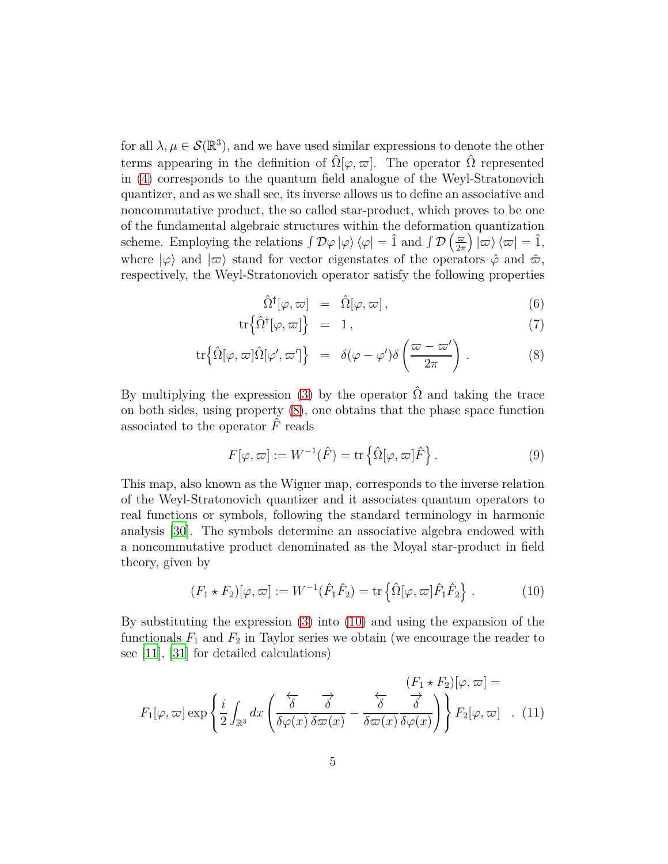for all  $\lambda, \mu \in \mathcal{S}(\mathbb{R}^3)$ , and we have used similar expressions to denote the other terms appearing in the definition of  $\hat{\Omega}[\varphi,\varpi]$ . The operator  $\hat{\Omega}$  represented in [\(4\)](#page-3-0) corresponds to the quantum field analogue of the Weyl-Stratonovich quantizer, and as we shall see, its inverse allows us to define an associative and noncommutative product, the so called star-product, which proves to be one of the fundamental algebraic structures within the deformation quantization scheme. Employing the relations  $\int \mathcal{D}\varphi |\varphi\rangle \langle \varphi | = \hat{1}$  and  $\int \mathcal{D} \left( \frac{\varpi}{2\pi} \right)$  $\left(\frac{\varpi}{2\pi}\right)\left|\varpi\right\rangle\left\langle\varpi\right|=\hat{1},$ where  $|\varphi\rangle$  and  $|\varpi\rangle$  stand for vector eigenstates of the operators  $\hat{\varphi}$  and  $\hat{\varpi}$ , respectively, the Weyl-Stratonovich operator satisfy the following properties

<span id="page-4-0"></span>
$$
\hat{\Omega}^{\dagger}[\varphi,\varpi] = \hat{\Omega}[\varphi,\varpi], \qquad (6)
$$

$$
\operatorname{tr}\left\{\hat{\Omega}^{\dagger}[\varphi,\varpi]\right\} = 1,\tag{7}
$$

$$
\operatorname{tr}\left\{\hat{\Omega}[\varphi,\varpi]\hat{\Omega}[\varphi',\varpi']\right\} \;\; = \;\; \delta(\varphi-\varphi')\delta\left(\frac{\varpi-\varpi'}{2\pi}\right) \, . \tag{8}
$$

By multiplying the expression [\(3\)](#page-3-1) by the operator  $\hat{\Omega}$  and taking the trace on both sides, using property [\(8\)](#page-4-0), one obtains that the phase space function associated to the operator  $\hat{F}$  reads

$$
F[\varphi,\varpi] := W^{-1}(\hat{F}) = \text{tr}\left\{\hat{\Omega}[\varphi,\varpi]\hat{F}\right\}.
$$
 (9)

This map, also known as the Wigner map, corresponds to the inverse relation of the Weyl-Stratonovich quantizer and it associates quantum operators to real functions or symbols, following the standard terminology in harmonic analysis [\[30\]](#page-17-1). The symbols determine an associative algebra endowed with a noncommutative product denominated as the Moyal star-product in field theory, given by

<span id="page-4-2"></span><span id="page-4-1"></span>
$$
(F_1 \star F_2)[\varphi, \varpi] := W^{-1}(\hat{F}_1 \hat{F}_2) = \text{tr}\left\{\hat{\Omega}[\varphi, \varpi] \hat{F}_1 \hat{F}_2\right\}.
$$
 (10)

By substituting the expression [\(3\)](#page-3-1) into [\(10\)](#page-4-1) and using the expansion of the functionals  $F_1$  and  $F_2$  in Taylor series we obtain (we encourage the reader to see [\[11\]](#page-15-6), [\[31](#page-17-2)] for detailed calculations)

$$
F_1[\varphi,\varpi] \exp\left\{\frac{i}{2} \int_{\mathbb{R}^3} dx \left(\frac{\overleftarrow{\delta}}{\delta \varphi(x)} \frac{\overrightarrow{\delta}}{\delta \varpi(x)} - \frac{\overleftarrow{\delta}}{\delta \varpi(x)} \frac{\overrightarrow{\delta}}{\delta \varphi(x)}\right)\right\} F_2[\varphi,\varpi] \quad . \quad (11)
$$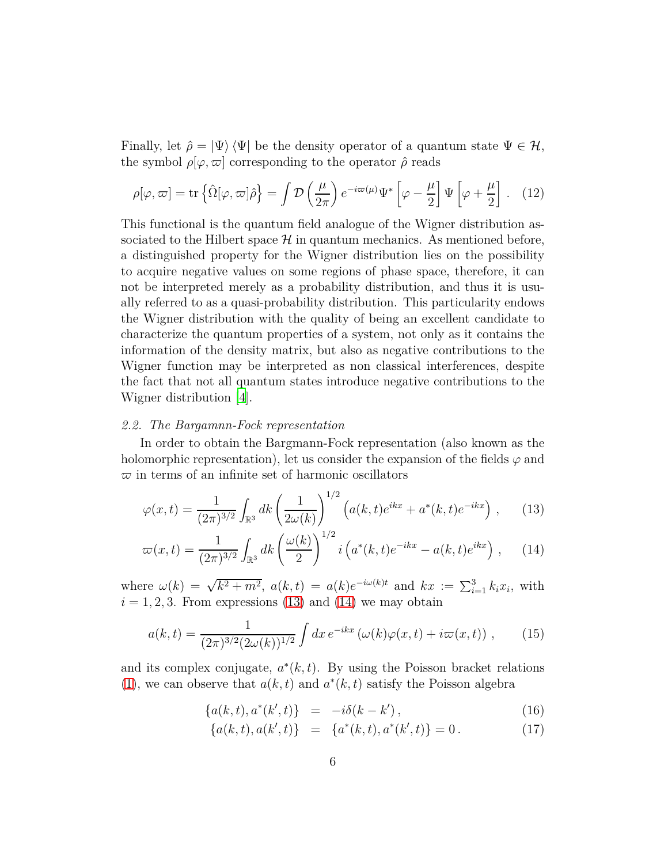Finally, let  $\hat{\rho} = |\Psi\rangle \langle \Psi|$  be the density operator of a quantum state  $\Psi \in \mathcal{H}$ , the symbol  $\rho[\varphi,\varpi]$  corresponding to the operator  $\hat{\rho}$  reads

<span id="page-5-3"></span>
$$
\rho[\varphi,\varpi] = \text{tr}\left\{\hat{\Omega}[\varphi,\varpi]\hat{\rho}\right\} = \int \mathcal{D}\left(\frac{\mu}{2\pi}\right) e^{-i\varpi(\mu)} \Psi^* \left[\varphi - \frac{\mu}{2}\right] \Psi \left[\varphi + \frac{\mu}{2}\right]. \quad (12)
$$

This functional is the quantum field analogue of the Wigner distribution associated to the Hilbert space  $\mathcal H$  in quantum mechanics. As mentioned before, a distinguished property for the Wigner distribution lies on the possibility to acquire negative values on some regions of phase space, therefore, it can not be interpreted merely as a probability distribution, and thus it is usually referred to as a quasi-probability distribution. This particularity endows the Wigner distribution with the quality of being an excellent candidate to characterize the quantum properties of a system, not only as it contains the information of the density matrix, but also as negative contributions to the Wigner function may be interpreted as non classical interferences, despite the fact that not all quantum states introduce negative contributions to the Wigner distribution [\[4](#page-14-3)].

## *2.2. The Bargamnn-Fock representation*

In order to obtain the Bargmann-Fock representation (also known as the holomorphic representation), let us consider the expansion of the fields  $\varphi$  and  $\bar{\varpi}$  in terms of an infinite set of harmonic oscillators

<span id="page-5-0"></span>
$$
\varphi(x,t) = \frac{1}{(2\pi)^{3/2}} \int_{\mathbb{R}^3} dk \left(\frac{1}{2\omega(k)}\right)^{1/2} \left(a(k,t)e^{ikx} + a^*(k,t)e^{-ikx}\right),\tag{13}
$$

$$
\varpi(x,t) = \frac{1}{(2\pi)^{3/2}} \int_{\mathbb{R}^3} dk \left(\frac{\omega(k)}{2}\right)^{1/2} i \left(a^*(k,t)e^{-ikx} - a(k,t)e^{ikx}\right), \quad (14)
$$

where  $\omega(k) = \sqrt{k^2 + m^2}$ ,  $a(k, t) = a(k)e^{-i\omega(k)t}$  and  $kx := \sum_{i=1}^3 k_i x_i$ , with  $i = 1, 2, 3$ . From expressions [\(13\)](#page-5-0) and [\(14\)](#page-5-0) we may obtain

$$
a(k,t) = \frac{1}{(2\pi)^{3/2}(2\omega(k))^{1/2}} \int dx \, e^{-ikx} \left(\omega(k)\varphi(x,t) + i\varpi(x,t)\right) \,, \tag{15}
$$

and its complex conjugate,  $a^*(k, t)$ . By using the Poisson bracket relations [\(1\)](#page-3-2), we can observe that  $a(k, t)$  and  $a^*(k, t)$  satisfy the Poisson algebra

<span id="page-5-2"></span><span id="page-5-1"></span>
$$
\{a(k,t), a^*(k',t)\} = -i\delta(k-k'), \qquad (16)
$$

$$
\{a(k,t), a(k',t)\} = \{a^*(k,t), a^*(k',t)\} = 0.
$$
 (17)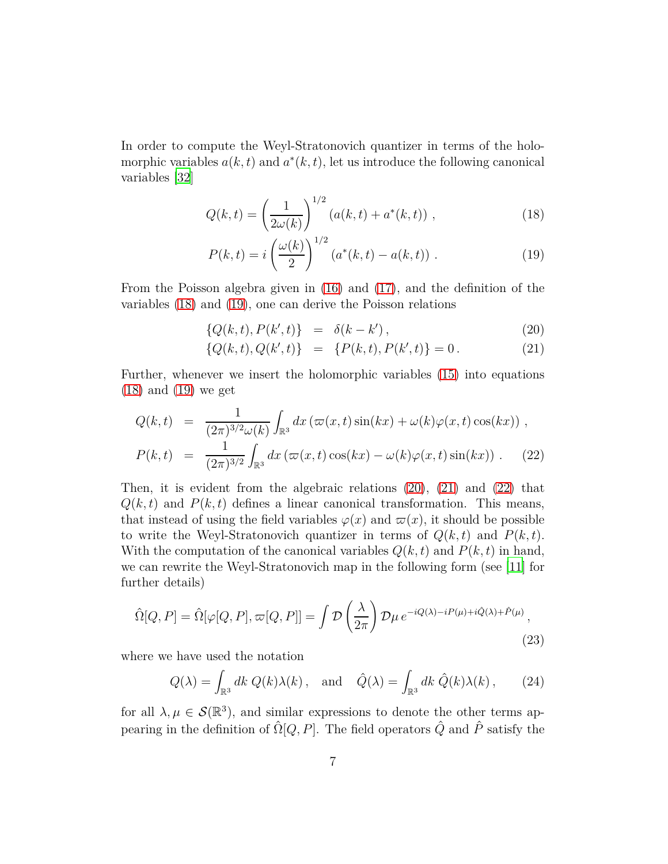In order to compute the Weyl-Stratonovich quantizer in terms of the holomorphic variables  $a(k, t)$  and  $a^*(k, t)$ , let us introduce the following canonical variables [\[32](#page-17-3)]

<span id="page-6-0"></span>
$$
Q(k,t) = \left(\frac{1}{2\omega(k)}\right)^{1/2} \left(a(k,t) + a^*(k,t)\right),\tag{18}
$$

$$
P(k,t) = i \left(\frac{\omega(k)}{2}\right)^{1/2} (a^*(k,t) - a(k,t)) . \tag{19}
$$

From the Poisson algebra given in [\(16\)](#page-5-1) and [\(17\)](#page-5-1), and the definition of the variables [\(18\)](#page-6-0) and [\(19\)](#page-6-0), one can derive the Poisson relations

<span id="page-6-1"></span>
$$
\{Q(k,t), P(k',t)\} = \delta(k-k'), \qquad (20)
$$

$$
\{Q(k,t), Q(k',t)\} = \{P(k,t), P(k',t)\} = 0.
$$
 (21)

Further, whenever we insert the holomorphic variables [\(15\)](#page-5-2) into equations [\(18\)](#page-6-0) and [\(19\)](#page-6-0) we get

<span id="page-6-2"></span>
$$
Q(k,t) = \frac{1}{(2\pi)^{3/2}\omega(k)} \int_{\mathbb{R}^3} dx \left(\varpi(x,t)\sin(kx) + \omega(k)\varphi(x,t)\cos(kx)\right),
$$
  
\n
$$
P(k,t) = \frac{1}{(2\pi)^{3/2}} \int_{\mathbb{R}^3} dx \left(\varpi(x,t)\cos(kx) - \omega(k)\varphi(x,t)\sin(kx)\right).
$$
 (22)

Then, it is evident from the algebraic relations  $(20)$ ,  $(21)$  and  $(22)$  that  $Q(k, t)$  and  $P(k, t)$  defines a linear canonical transformation. This means, that instead of using the field variables  $\varphi(x)$  and  $\varpi(x)$ , it should be possible to write the Weyl-Stratonovich quantizer in terms of  $Q(k, t)$  and  $P(k, t)$ . With the computation of the canonical variables  $Q(k, t)$  and  $P(k, t)$  in hand, we can rewrite the Weyl-Stratonovich map in the following form (see [\[11\]](#page-15-6) for further details)

<span id="page-6-3"></span>
$$
\hat{\Omega}[Q, P] = \hat{\Omega}[\varphi[Q, P], \varpi[Q, P]] = \int \mathcal{D}\left(\frac{\lambda}{2\pi}\right) \mathcal{D}\mu \, e^{-iQ(\lambda) - iP(\mu) + i\hat{Q}(\lambda) + \hat{P}(\mu)},\tag{23}
$$

where we have used the notation

$$
Q(\lambda) = \int_{\mathbb{R}^3} dk \ Q(k)\lambda(k) \,, \text{ and } \hat{Q}(\lambda) = \int_{\mathbb{R}^3} dk \ \hat{Q}(k)\lambda(k) \,, \tag{24}
$$

for all  $\lambda, \mu \in \mathcal{S}(\mathbb{R}^3)$ , and similar expressions to denote the other terms appearing in the definition of  $\hat{\Omega}[Q, P]$ . The field operators  $\hat{Q}$  and  $\hat{P}$  satisfy the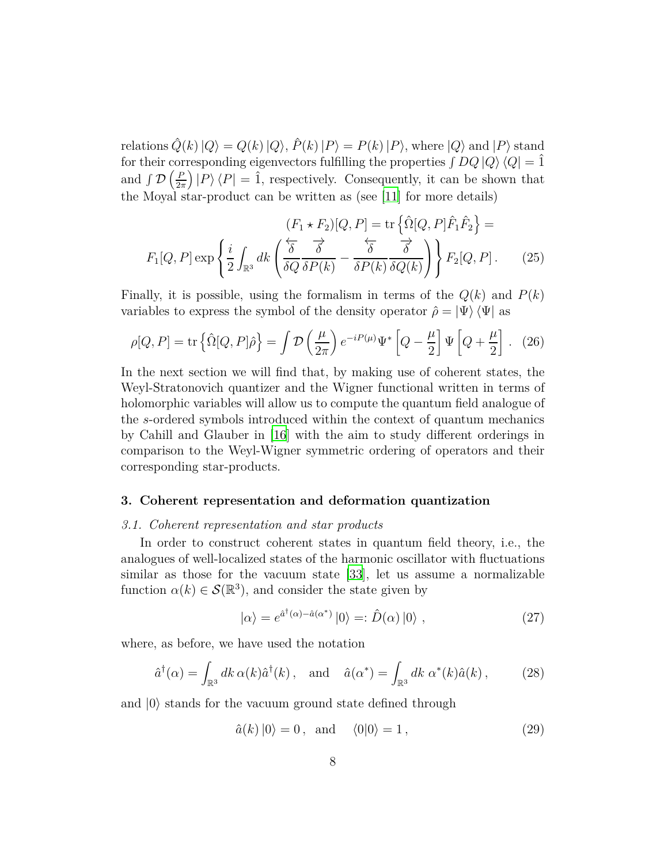relations  $\hat{Q}(k)|Q\rangle = Q(k)|Q\rangle$ ,  $\hat{P}(k)|P\rangle = P(k)|P\rangle$ , where  $|Q\rangle$  and  $|P\rangle$  stand for their corresponding eigenvectors fulfilling the properties  $\int DQ |Q\rangle \langle Q| = \hat{1}$ and  $\int \mathcal{D} \left( \frac{F}{2\pi} \right)$  $\left(\frac{P}{2\pi}\right)|P\rangle\langle P| = \hat{1}$ , respectively. Consequently, it can be shown that the Moyal star-product can be written as (see [\[11\]](#page-15-6) for more details)

$$
(F_1 \star F_2)[Q, P] = \text{tr}\left\{\hat{\Omega}[Q, P]\hat{F}_1\hat{F}_2\right\} =
$$

$$
F_1[Q, P] \exp\left\{\frac{i}{2} \int_{\mathbb{R}^3} dk \left(\frac{\overleftarrow{\delta}}{\delta Q} \frac{\overrightarrow{\delta}}{\delta P(k)} - \frac{\overleftarrow{\delta}}{\delta P(k)} \frac{\overrightarrow{\delta}}{\delta Q(k)}\right)\right\} F_2[Q, P].
$$
 (25)

Finally, it is possible, using the formalism in terms of the  $Q(k)$  and  $P(k)$ variables to express the symbol of the density operator  $\hat{\rho} = |\Psi\rangle \langle \Psi|$  as

$$
\rho[Q, P] = \text{tr}\left\{\hat{\Omega}[Q, P]\hat{\rho}\right\} = \int \mathcal{D}\left(\frac{\mu}{2\pi}\right) e^{-iP(\mu)} \Psi^* \left[Q - \frac{\mu}{2}\right] \Psi \left[Q + \frac{\mu}{2}\right]. \tag{26}
$$

In the next section we will find that, by making use of coherent states, the Weyl-Stratonovich quantizer and the Wigner functional written in terms of holomorphic variables will allow us to compute the quantum field analogue of the *s*-ordered symbols introduced within the context of quantum mechanics by Cahill and Glauber in [\[16\]](#page-16-0) with the aim to study different orderings in comparison to the Weyl-Wigner symmetric ordering of operators and their corresponding star-products.

#### **3. Coherent representation and deformation quantization**

#### *3.1. Coherent representation and star products*

In order to construct coherent states in quantum field theory, i.e., the analogues of well-localized states of the harmonic oscillator with fluctuations similar as those for the vacuum state [\[33](#page-17-4)], let us assume a normalizable function  $\alpha(k) \in \mathcal{S}(\mathbb{R}^3)$ , and consider the state given by

<span id="page-7-0"></span>
$$
|\alpha\rangle = e^{\hat{a}^{\dagger}(\alpha) - \hat{a}(\alpha^{*})} |0\rangle =: \hat{D}(\alpha) |0\rangle , \qquad (27)
$$

where, as before, we have used the notation

$$
\hat{a}^{\dagger}(\alpha) = \int_{\mathbb{R}^3} dk \,\alpha(k)\hat{a}^{\dagger}(k) , \text{ and } \hat{a}(\alpha^*) = \int_{\mathbb{R}^3} dk \,\alpha^*(k)\hat{a}(k) , \qquad (28)
$$

and  $|0\rangle$  stands for the vacuum ground state defined through

<span id="page-7-1"></span>
$$
\hat{a}(k) |0\rangle = 0, \text{ and } \langle 0|0\rangle = 1, \qquad (29)
$$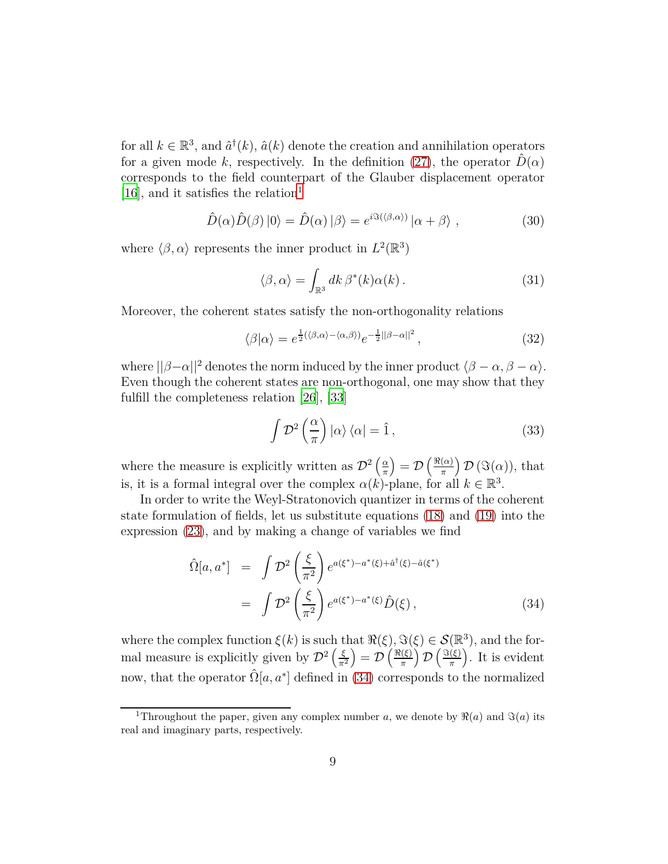for all  $k \in \mathbb{R}^3$ , and  $\hat{a}^{\dagger}(k)$ ,  $\hat{a}(k)$  denote the creation and annihilation operators for a given mode k, respectively. In the definition [\(27\)](#page-7-0), the operator  $\hat{D}(\alpha)$ corresponds to the field counterpart of the Glauber displacement operator [\[16\]](#page-16-0), and it satisfies the relation<sup>[1](#page-8-0)</sup>

$$
\hat{D}(\alpha)\hat{D}(\beta)|0\rangle = \hat{D}(\alpha)|\beta\rangle = e^{i\Im(\langle\beta,\alpha\rangle)}|\alpha+\beta\rangle , \qquad (30)
$$

where  $\langle \beta, \alpha \rangle$  represents the inner product in  $L^2(\mathbb{R}^3)$ 

<span id="page-8-3"></span>
$$
\langle \beta, \alpha \rangle = \int_{\mathbb{R}^3} dk \, \beta^*(k) \alpha(k) \,. \tag{31}
$$

Moreover, the coherent states satisfy the non-orthogonality relations

$$
\langle \beta | \alpha \rangle = e^{\frac{1}{2} (\langle \beta, \alpha \rangle - \langle \alpha, \beta \rangle)} e^{-\frac{1}{2} ||\beta - \alpha||^2}, \qquad (32)
$$

where  $||\beta-\alpha||^2$  denotes the norm induced by the inner product  $\langle \beta-\alpha, \beta-\alpha \rangle$ . Even though the coherent states are non-orthogonal, one may show that they fulfill the completeness relation [\[26\]](#page-16-10), [\[33\]](#page-17-4)

<span id="page-8-2"></span>
$$
\int \mathcal{D}^2 \left( \frac{\alpha}{\pi} \right) |\alpha\rangle \langle \alpha| = \hat{1}, \qquad (33)
$$

where the measure is explicitly written as  $\mathcal{D}^2\left(\frac{\alpha}{\pi}\right)$  $\left(\frac{\alpha}{\pi}\right) = \mathcal{D}\left(\frac{\Re(\alpha)}{\pi}\right)$  $\left(\frac{\alpha}{\pi}\right)$   $\mathcal{D}\left(\Im(\alpha)\right)$ , that is, it is a formal integral over the complex  $\alpha(k)$ -plane, for all  $k \in \mathbb{R}^3$ .

In order to write the Weyl-Stratonovich quantizer in terms of the coherent state formulation of fields, let us substitute equations [\(18\)](#page-6-0) and [\(19\)](#page-6-0) into the expression [\(23\)](#page-6-3), and by making a change of variables we find

<span id="page-8-1"></span>
$$
\hat{\Omega}[a, a^*] = \int \mathcal{D}^2 \left(\frac{\xi}{\pi^2}\right) e^{a(\xi^*) - a^*(\xi) + \hat{a}^\dagger(\xi) - \hat{a}(\xi^*)}
$$
\n
$$
= \int \mathcal{D}^2 \left(\frac{\xi}{\pi^2}\right) e^{a(\xi^*) - a^*(\xi)} \hat{D}(\xi) ,
$$
\n(34)

where the complex function  $\xi(k)$  is such that  $\Re(\xi)$ ,  $\Im(\xi) \in \mathcal{S}(\mathbb{R}^3)$ , and the formal measure is explicitly given by  $\mathcal{D}^2\left(\frac{\xi}{\pi^2}\right) = \mathcal{D}\left(\frac{\Re(\xi)}{\pi}\right)$  $\left(\frac{\pi}{\pi}\right)\mathcal{D}\left(\frac{\Im(\xi)}{\pi}\right)$  $\binom{(\xi)}{\pi}$ . It is evident now, that the operator  $\hat{\Omega}[a, a^*]$  defined in [\(34\)](#page-8-1) corresponds to the normalized

<span id="page-8-0"></span><sup>&</sup>lt;sup>1</sup>Throughout the paper, given any complex number *a*, we denote by  $\Re(a)$  and  $\Im(a)$  its real and imaginary parts, respectively.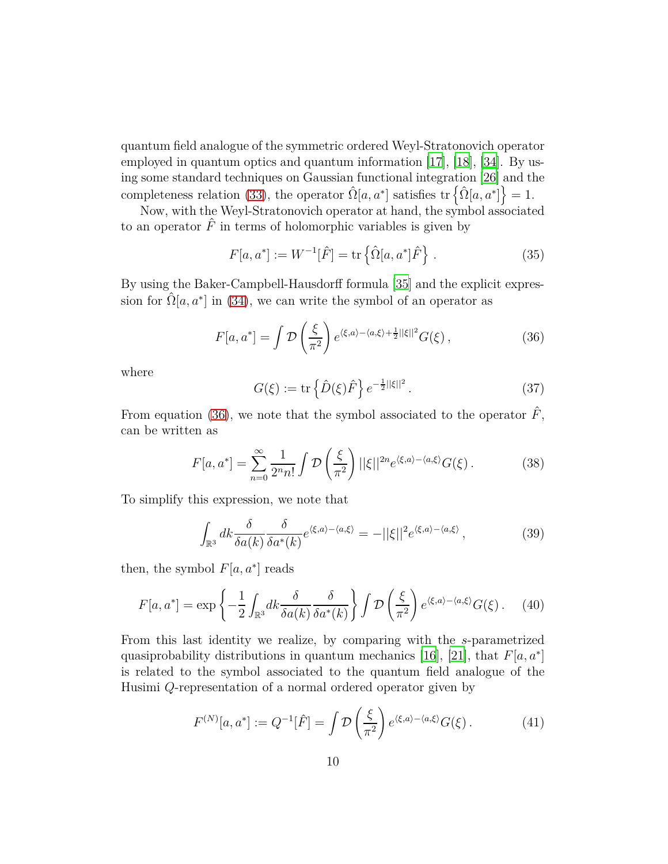quantum field analogue of the symmetric ordered Weyl-Stratonovich operator employed in quantum optics and quantum information [\[17](#page-16-1)], [\[18](#page-16-2)], [\[34](#page-17-5)]. By using some standard techniques on Gaussian functional integration [\[26\]](#page-16-10) and the completeness relation [\(33\)](#page-8-2), the operator  $\hat{\Omega}[a, a^*]$  satisfies  $\text{tr}\left\{\hat{\Omega}[a, a^*]\right\} = 1$ .

Now, with the Weyl-Stratonovich operator at hand, the symbol associated to an operator  $\hat{F}$  in terms of holomorphic variables is given by

$$
F[a, a^*] := W^{-1}[\hat{F}] = \text{tr}\left\{\hat{\Omega}[a, a^*]\hat{F}\right\}.
$$
 (35)

By using the Baker-Campbell-Hausdorff formula [\[35\]](#page-17-6) and the explicit expression for  $\hat{\Omega}[a, a^*]$  in [\(34\)](#page-8-1), we can write the symbol of an operator as

$$
F[a, a^*] = \int \mathcal{D}\left(\frac{\xi}{\pi^2}\right) e^{\langle \xi, a \rangle - \langle a, \xi \rangle + \frac{1}{2} ||\xi||^2} G(\xi), \qquad (36)
$$

where

<span id="page-9-0"></span>
$$
G(\xi) := \text{tr}\left\{\hat{D}(\xi)\hat{F}\right\}e^{-\frac{1}{2}||\xi||^2}.
$$
 (37)

From equation [\(36\)](#page-9-0), we note that the symbol associated to the operator  $\hat{F}$ , can be written as

$$
F[a, a^*] = \sum_{n=0}^{\infty} \frac{1}{2^n n!} \int \mathcal{D}\left(\frac{\xi}{\pi^2}\right) ||\xi||^{2n} e^{\langle \xi, a \rangle - \langle a, \xi \rangle} G(\xi).
$$
 (38)

To simplify this expression, we note that

<span id="page-9-1"></span>
$$
\int_{\mathbb{R}^3} dk \frac{\delta}{\delta a(k)} \frac{\delta}{\delta a^*(k)} e^{\langle \xi, a \rangle - \langle a, \xi \rangle} = -||\xi||^2 e^{\langle \xi, a \rangle - \langle a, \xi \rangle}, \tag{39}
$$

then, the symbol  $F[a, a^*]$  reads

$$
F[a, a^*] = \exp\left\{-\frac{1}{2} \int_{\mathbb{R}^3} dk \frac{\delta}{\delta a(k)} \frac{\delta}{\delta a^*(k)}\right\} \int \mathcal{D}\left(\frac{\xi}{\pi^2}\right) e^{\langle \xi, a \rangle - \langle a, \xi \rangle} G(\xi). \tag{40}
$$

From this last identity we realize, by comparing with the *s*-parametrized quasiprobability distributions in quantum mechanics [\[16\]](#page-16-0), [\[21](#page-16-5)], that *F*[*a, a*<sup>∗</sup> ] is related to the symbol associated to the quantum field analogue of the Husimi *Q*-representation of a normal ordered operator given by

$$
F^{(N)}[a, a^*] := Q^{-1}[\hat{F}] = \int \mathcal{D}\left(\frac{\xi}{\pi^2}\right) e^{\langle \xi, a \rangle - \langle a, \xi \rangle} G(\xi).
$$
 (41)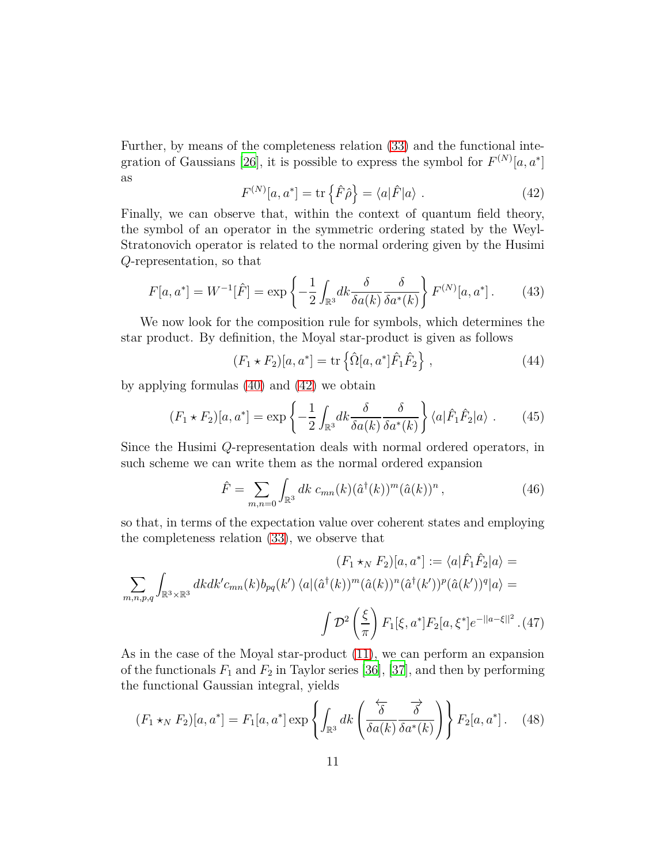<span id="page-10-0"></span>Further, by means of the completeness relation [\(33\)](#page-8-2) and the functional inte-gration of Gaussians [\[26\]](#page-16-10), it is possible to express the symbol for  $F^{(N)}[a, a^*]$ as

$$
F^{(N)}[a, a^*] = \text{tr}\left\{\hat{F}\hat{\rho}\right\} = \langle a|\hat{F}|a\rangle. \tag{42}
$$

Finally, we can observe that, within the context of quantum field theory, the symbol of an operator in the symmetric ordering stated by the Weyl-Stratonovich operator is related to the normal ordering given by the Husimi *Q*-representation, so that

$$
F[a, a^*] = W^{-1}[\hat{F}] = \exp\left\{-\frac{1}{2} \int_{\mathbb{R}^3} dk \frac{\delta}{\delta a(k)} \frac{\delta}{\delta a^*(k)}\right\} F^{(N)}[a, a^*].
$$
 (43)

We now look for the composition rule for symbols, which determines the star product. By definition, the Moyal star-product is given as follows

<span id="page-10-1"></span>
$$
(F_1 * F_2)[a, a^*] = \text{tr}\left\{\hat{\Omega}[a, a^*]\hat{F}_1\hat{F}_2\right\},\qquad(44)
$$

by applying formulas [\(40\)](#page-9-1) and [\(42\)](#page-10-0) we obtain

$$
(F_1 \star F_2)[a, a^*] = \exp\left\{-\frac{1}{2} \int_{\mathbb{R}^3} dk \frac{\delta}{\delta a(k)} \frac{\delta}{\delta a^*(k)}\right\} \langle a|\hat{F}_1 \hat{F}_2|a\rangle. \tag{45}
$$

Since the Husimi *Q*-representation deals with normal ordered operators, in such scheme we can write them as the normal ordered expansion

$$
\hat{F} = \sum_{m,n=0} \int_{\mathbb{R}^3} dk \ c_{mn}(k) (\hat{a}^\dagger(k))^m (\hat{a}(k))^n , \qquad (46)
$$

so that, in terms of the expectation value over coherent states and employing the completeness relation [\(33\)](#page-8-2), we observe that

$$
(F_1 \star_N F_2)[a, a^*] := \langle a|\hat{F}_1\hat{F}_2|a\rangle =
$$
  

$$
\sum_{m,n,p,q} \int_{\mathbb{R}^3 \times \mathbb{R}^3} dk dk' c_{mn}(k) b_{pq}(k') \langle a|(\hat{a}^\dagger(k))^m (\hat{a}(k))^n (\hat{a}^\dagger(k'))^p (\hat{a}(k'))^q |a\rangle =
$$
  

$$
\int \mathcal{D}^2 \left(\frac{\xi}{\pi}\right) F_1[\xi, a^*] F_2[a, \xi^*] e^{-||a-\xi||^2}. (47)
$$

As in the case of the Moyal star-product [\(11\)](#page-4-2), we can perform an expansion of the functionals  $F_1$  and  $F_2$  in Taylor series [\[36\]](#page-17-7), [\[37](#page-17-8)], and then by performing the functional Gaussian integral, yields

$$
(F_1 \star_N F_2)[a, a^*] = F_1[a, a^*] \exp\left\{ \int_{\mathbb{R}^3} dk \left( \frac{\overleftarrow{\delta}}{\delta a(k)} \frac{\overrightarrow{\delta}}{\delta a^*(k)} \right) \right\} F_2[a, a^*]. \quad (48)
$$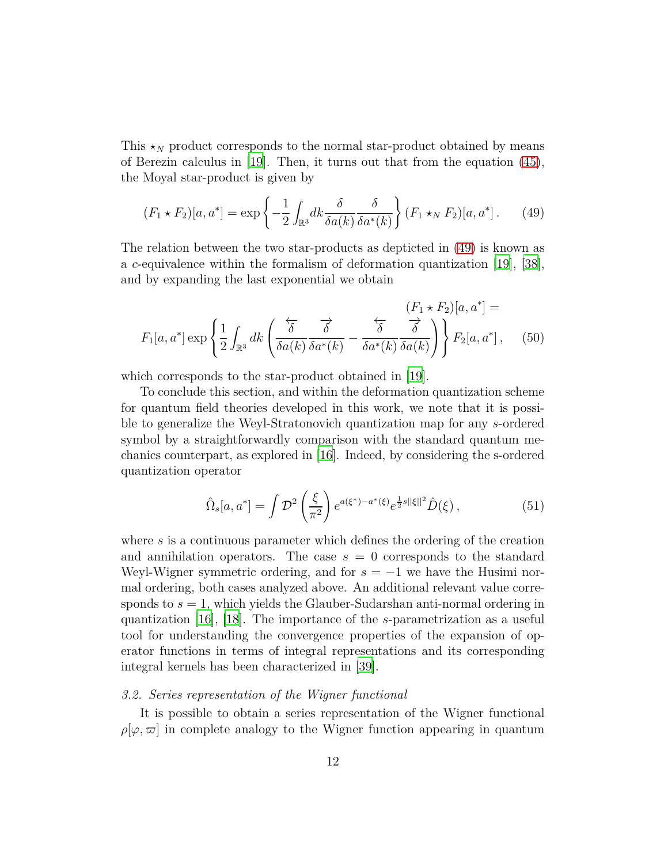This  $\star_N$  product corresponds to the normal star-product obtained by means of Berezin calculus in  $[19]$ . Then, it turns out that from the equation  $(45)$ , the Moyal star-product is given by

<span id="page-11-0"></span>
$$
(F_1 \star F_2)[a, a^*] = \exp\left\{-\frac{1}{2} \int_{\mathbb{R}^3} dk \frac{\delta}{\delta a(k)} \frac{\delta}{\delta a^*(k)}\right\} (F_1 \star_N F_2)[a, a^*]. \tag{49}
$$

The relation between the two star-products as depticted in [\(49\)](#page-11-0) is known as a *c*-equivalence within the formalism of deformation quantization [\[19](#page-16-3)], [\[38\]](#page-17-9), and by expanding the last exponential we obtain

$$
F_1[a, a^*] \exp\left\{\frac{1}{2} \int_{\mathbb{R}^3} dk \left(\frac{\overleftarrow{\delta}}{\delta a(k)} \frac{\overrightarrow{\delta}}{\delta a^*(k)} - \frac{\overleftarrow{\delta}}{\delta a^*(k)} \frac{\overrightarrow{\delta}}{\delta a(k)}\right)\right\} F_2[a, a^*],\quad(50)
$$

which corresponds to the star-product obtained in [\[19](#page-16-3)].

To conclude this section, and within the deformation quantization scheme for quantum field theories developed in this work, we note that it is possible to generalize the Weyl-Stratonovich quantization map for any *s*-ordered symbol by a straightforwardly comparison with the standard quantum mechanics counterpart, as explored in [\[16\]](#page-16-0). Indeed, by considering the s-ordered quantization operator

$$
\hat{\Omega}_s[a, a^*] = \int \mathcal{D}^2 \left(\frac{\xi}{\pi^2}\right) e^{a(\xi^*) - a^*(\xi)} e^{\frac{1}{2}s ||\xi||^2} \hat{D}(\xi) ,\qquad (51)
$$

where *s* is a continuous parameter which defines the ordering of the creation and annihilation operators. The case  $s = 0$  corresponds to the standard Weyl-Wigner symmetric ordering, and for  $s = -1$  we have the Husimi normal ordering, both cases analyzed above. An additional relevant value corresponds to *s* = 1, which yields the Glauber-Sudarshan anti-normal ordering in quantization [\[16\]](#page-16-0), [\[18](#page-16-2)]. The importance of the *s*-parametrization as a useful tool for understanding the convergence properties of the expansion of operator functions in terms of integral representations and its corresponding integral kernels has been characterized in [\[39\]](#page-17-10).

# *3.2. Series representation of the Wigner functional*

It is possible to obtain a series representation of the Wigner functional  $\rho[\varphi,\varpi]$  in complete analogy to the Wigner function appearing in quantum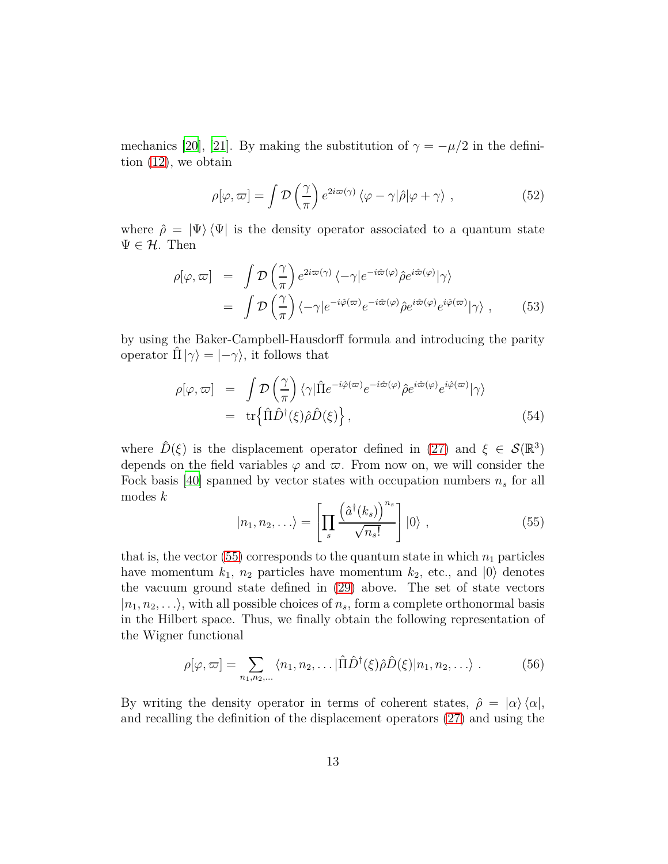mechanics [\[20\]](#page-16-4), [\[21](#page-16-5)]. By making the substitution of  $\gamma = -\mu/2$  in the definition [\(12\)](#page-5-3), we obtain

$$
\rho[\varphi,\varpi] = \int \mathcal{D}\left(\frac{\gamma}{\pi}\right) e^{2i\varpi(\gamma)} \left\langle \varphi - \gamma|\hat{\rho}|\varphi + \gamma \right\rangle , \qquad (52)
$$

where  $\hat{\rho} = |\Psi\rangle \langle \Psi|$  is the density operator associated to a quantum state  $\Psi \in \mathcal{H}$ . Then

$$
\rho[\varphi,\varpi] = \int \mathcal{D}\left(\frac{\gamma}{\pi}\right) e^{2i\varpi(\gamma)} \langle -\gamma|e^{-i\hat{\varpi}(\varphi)}\hat{\rho}e^{i\hat{\varpi}(\varphi)}|\gamma\rangle \n= \int \mathcal{D}\left(\frac{\gamma}{\pi}\right) \langle -\gamma|e^{-i\hat{\varphi}(\varpi)}e^{-i\hat{\varpi}(\varphi)}\hat{\rho}e^{i\hat{\varpi}(\varphi)}e^{i\hat{\varphi}(\varpi)}|\gamma\rangle ,
$$
\n(53)

by using the Baker-Campbell-Hausdorff formula and introducing the parity operator  $\hat{\Pi} | \gamma \rangle = | - \gamma \rangle$ , it follows that

$$
\rho[\varphi, \varpi] = \int \mathcal{D}\left(\frac{\gamma}{\pi}\right) \langle \gamma | \hat{\Pi} e^{-i\hat{\varphi}(\varpi)} e^{-i\hat{\varpi}(\varphi)} \hat{\rho} e^{i\hat{\varpi}(\varphi)} e^{i\hat{\varphi}(\varpi)} | \gamma \rangle \n= \operatorname{tr} \{ \hat{\Pi} \hat{D}^{\dagger}(\xi) \hat{\rho} \hat{D}(\xi) \},
$$
\n(54)

where  $\hat{D}(\xi)$  is the displacement operator defined in [\(27\)](#page-7-0) and  $\xi \in \mathcal{S}(\mathbb{R}^3)$ depends on the field variables  $\varphi$  and  $\varpi$ . From now on, we will consider the Fock basis [\[40\]](#page-17-11) spanned by vector states with occupation numbers  $n<sub>s</sub>$  for all modes *k*

<span id="page-12-0"></span>
$$
|n_1, n_2, \ldots \rangle = \left[ \prod_s \frac{\left( \hat{a}^\dagger(k_s) \right)^{n_s}}{\sqrt{n_s!}} \right] |0\rangle , \qquad (55)
$$

that is, the vector  $(55)$  corresponds to the quantum state in which  $n_1$  particles have momentum  $k_1$ ,  $n_2$  particles have momentum  $k_2$ , etc., and  $|0\rangle$  denotes the vacuum ground state defined in [\(29\)](#page-7-1) above. The set of state vectors  $|n_1, n_2, \ldots\rangle$ , with all possible choices of  $n_s$ , form a complete orthonormal basis in the Hilbert space. Thus, we finally obtain the following representation of the Wigner functional

<span id="page-12-1"></span>
$$
\rho[\varphi,\varpi] = \sum_{n_1,n_2,\dots} \langle n_1,n_2,\dots | \hat{\Pi} \hat{D}^\dagger(\xi) \hat{\rho} \hat{D}(\xi) | n_1,n_2,\dots \rangle . \tag{56}
$$

By writing the density operator in terms of coherent states,  $\hat{\rho} = |\alpha\rangle \langle \alpha|$ , and recalling the definition of the displacement operators [\(27\)](#page-7-0) and using the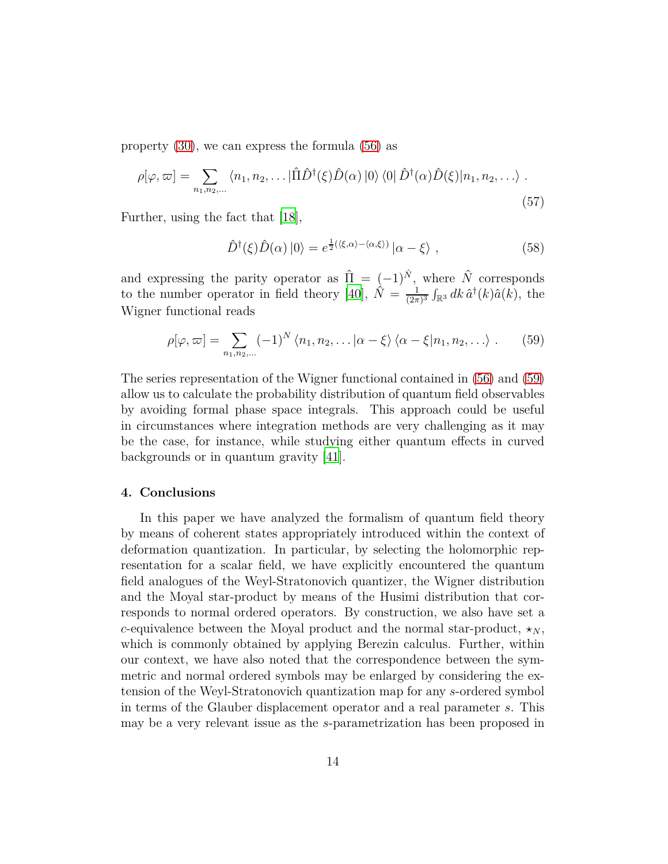property [\(30\)](#page-8-3), we can express the formula [\(56\)](#page-12-1) as

$$
\rho[\varphi,\varpi] = \sum_{n_1,n_2,\dots} \langle n_1,n_2,\dots | \hat{\Pi} \hat{D}^\dagger(\xi) \hat{D}(\alpha) | 0 \rangle \langle 0 | \hat{D}^\dagger(\alpha) \hat{D}(\xi) | n_1,n_2,\dots \rangle .
$$
\n(57)

Further, using the fact that [\[18\]](#page-16-2),

<span id="page-13-0"></span>
$$
\hat{D}^{\dagger}(\xi)\hat{D}(\alpha)|0\rangle = e^{\frac{1}{2}(\langle\xi,\alpha\rangle - \langle\alpha,\xi\rangle)}|\alpha - \xi\rangle , \qquad (58)
$$

and expressing the parity operator as  $\hat{\Pi} = (-1)^{\hat{N}}$ , where  $\hat{N}$  corresponds to the number operator in field theory [\[40](#page-17-11)],  $\hat{N} = \frac{1}{(2\pi)^n}$  $\frac{1}{(2\pi)^3}$   $\int_{\mathbb{R}^3} dk \, \hat{a}^\dagger(k) \hat{a}(k)$ , the Wigner functional reads

$$
\rho[\varphi,\varpi] = \sum_{n_1,n_2,\dots} (-1)^N \langle n_1,n_2,\dots | \alpha - \xi \rangle \langle \alpha - \xi | n_1,n_2,\dots \rangle . \tag{59}
$$

The series representation of the Wigner functional contained in [\(56\)](#page-12-1) and [\(59\)](#page-13-0) allow us to calculate the probability distribution of quantum field observables by avoiding formal phase space integrals. This approach could be useful in circumstances where integration methods are very challenging as it may be the case, for instance, while studying either quantum effects in curved backgrounds or in quantum gravity [\[41\]](#page-17-12).

# **4. Conclusions**

In this paper we have analyzed the formalism of quantum field theory by means of coherent states appropriately introduced within the context of deformation quantization. In particular, by selecting the holomorphic representation for a scalar field, we have explicitly encountered the quantum field analogues of the Weyl-Stratonovich quantizer, the Wigner distribution and the Moyal star-product by means of the Husimi distribution that corresponds to normal ordered operators. By construction, we also have set a *c*-equivalence between the Moyal product and the normal star-product,  $\star_N$ , which is commonly obtained by applying Berezin calculus. Further, within our context, we have also noted that the correspondence between the symmetric and normal ordered symbols may be enlarged by considering the extension of the Weyl-Stratonovich quantization map for any *s*-ordered symbol in terms of the Glauber displacement operator and a real parameter *s*. This may be a very relevant issue as the *s*-parametrization has been proposed in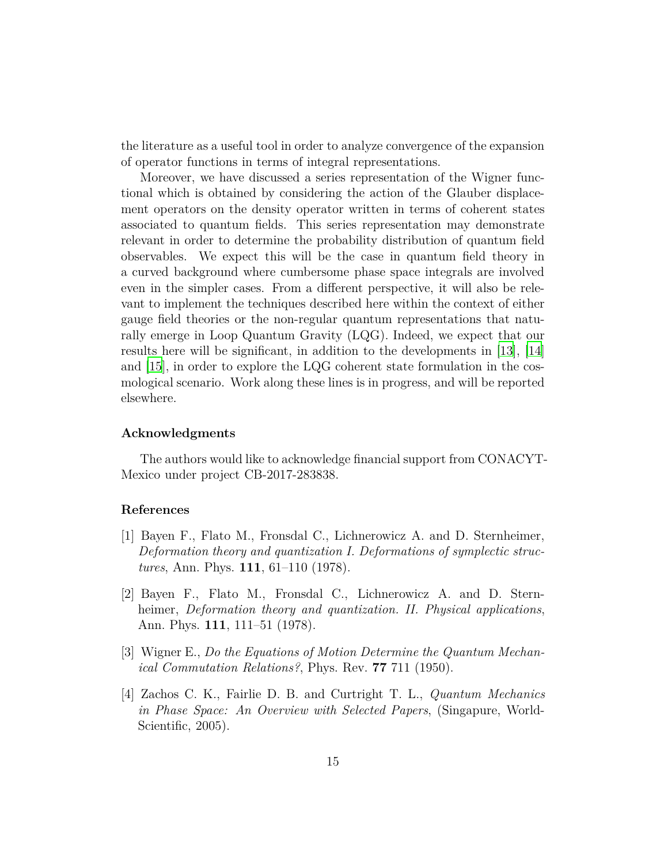the literature as a useful tool in order to analyze convergence of the expansion of operator functions in terms of integral representations.

Moreover, we have discussed a series representation of the Wigner functional which is obtained by considering the action of the Glauber displacement operators on the density operator written in terms of coherent states associated to quantum fields. This series representation may demonstrate relevant in order to determine the probability distribution of quantum field observables. We expect this will be the case in quantum field theory in a curved background where cumbersome phase space integrals are involved even in the simpler cases. From a different perspective, it will also be relevant to implement the techniques described here within the context of either gauge field theories or the non-regular quantum representations that naturally emerge in Loop Quantum Gravity (LQG). Indeed, we expect that our results here will be significant, in addition to the developments in [\[13](#page-15-8)], [\[14](#page-15-9)] and [\[15\]](#page-15-10), in order to explore the LQG coherent state formulation in the cosmological scenario. Work along these lines is in progress, and will be reported elsewhere.

## **Acknowledgments**

The authors would like to acknowledge financial support from CONACYT-Mexico under project CB-2017-283838.

# **References**

- <span id="page-14-0"></span>[1] Bayen F., Flato M., Fronsdal C., Lichnerowicz A. and D. Sternheimer, *Deformation theory and quantization I. Deformations of symplectic structures*, Ann. Phys. **111**, 61–110 (1978).
- <span id="page-14-1"></span>[2] Bayen F., Flato M., Fronsdal C., Lichnerowicz A. and D. Sternheimer, *Deformation theory and quantization. II. Physical applications*, Ann. Phys. **111**, 111–51 (1978).
- <span id="page-14-2"></span>[3] Wigner E., *Do the Equations of Motion Determine the Quantum Mechanical Commutation Relations?*, Phys. Rev. **77** 711 (1950).
- <span id="page-14-3"></span>[4] Zachos C. K., Fairlie D. B. and Curtright T. L., *Quantum Mechanics in Phase Space: An Overview with Selected Papers*, (Singapure, World-Scientific, 2005).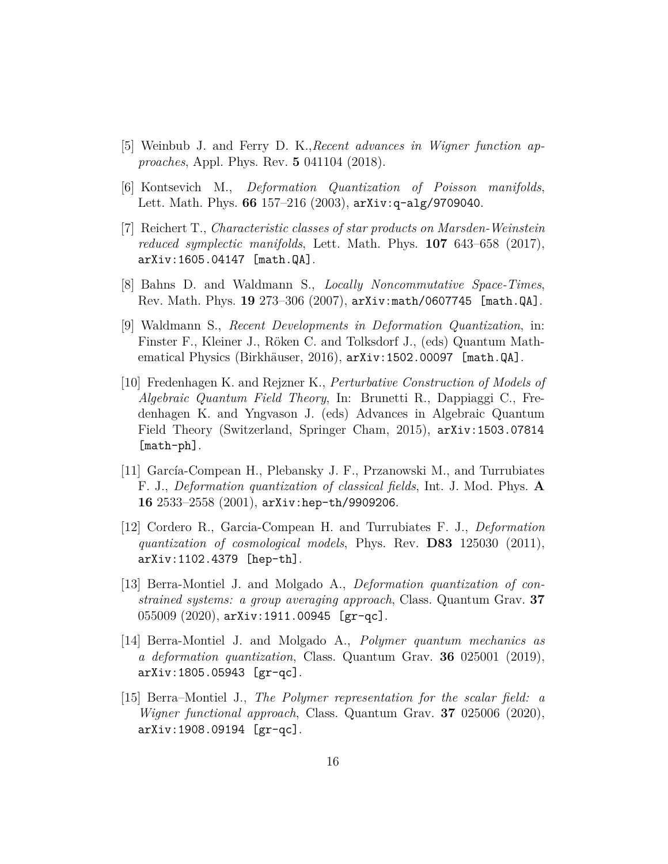- <span id="page-15-0"></span>[5] Weinbub J. and Ferry D. K.,*Recent advances in Wigner function approaches*, Appl. Phys. Rev. **5** 041104 (2018).
- <span id="page-15-1"></span>[6] Kontsevich M., *Deformation Quantization of Poisson manifolds*, Lett. Math. Phys. **66** 157–216 (2003), arXiv:q-alg/9709040.
- <span id="page-15-2"></span>[7] Reichert T., *Characteristic classes of star products on Marsden-Weinstein reduced symplectic manifolds*, Lett. Math. Phys. **107** 643–658 (2017), arXiv:1605.04147 [math.QA].
- <span id="page-15-3"></span>[8] Bahns D. and Waldmann S., *Locally Noncommutative Space-Times*, Rev. Math. Phys. **19** 273–306 (2007), arXiv:math/0607745 [math.QA].
- <span id="page-15-4"></span>[9] Waldmann S., *Recent Developments in Deformation Quantization*, in: Finster F., Kleiner J., Röken C. and Tolksdorf J., (eds) Quantum Mathematical Physics (Birkhäuser, 2016), arXiv:1502.00097 [math.QA].
- <span id="page-15-5"></span>[10] Fredenhagen K. and Rejzner K., *Perturbative Construction of Models of Algebraic Quantum Field Theory*, In: Brunetti R., Dappiaggi C., Fredenhagen K. and Yngvason J. (eds) Advances in Algebraic Quantum Field Theory (Switzerland, Springer Cham, 2015), arXiv:1503.07814 [math-ph].
- <span id="page-15-6"></span>[11] García-Compean H., Plebansky J. F., Przanowski M., and Turrubiates F. J., *Deformation quantization of classical fields*, Int. J. Mod. Phys. **A 16** 2533–2558 (2001), arXiv:hep-th/9909206.
- <span id="page-15-7"></span>[12] Cordero R., Garcia-Compean H. and Turrubiates F. J., *Deformation quantization of cosmological models*, Phys. Rev. **D83** 125030 (2011), arXiv:1102.4379 [hep-th].
- <span id="page-15-8"></span>[13] Berra-Montiel J. and Molgado A., *Deformation quantization of constrained systems: a group averaging approach*, Class. Quantum Grav. **37** 055009 (2020), arXiv:1911.00945 [gr-qc].
- <span id="page-15-9"></span>[14] Berra-Montiel J. and Molgado A., *Polymer quantum mechanics as a deformation quantization*, Class. Quantum Grav. **36** 025001 (2019), arXiv:1805.05943 [gr-qc].
- <span id="page-15-10"></span>[15] Berra–Montiel J., *The Polymer representation for the scalar field: a Wigner functional approach*, Class. Quantum Grav. **37** 025006 (2020), arXiv:1908.09194 [gr-qc].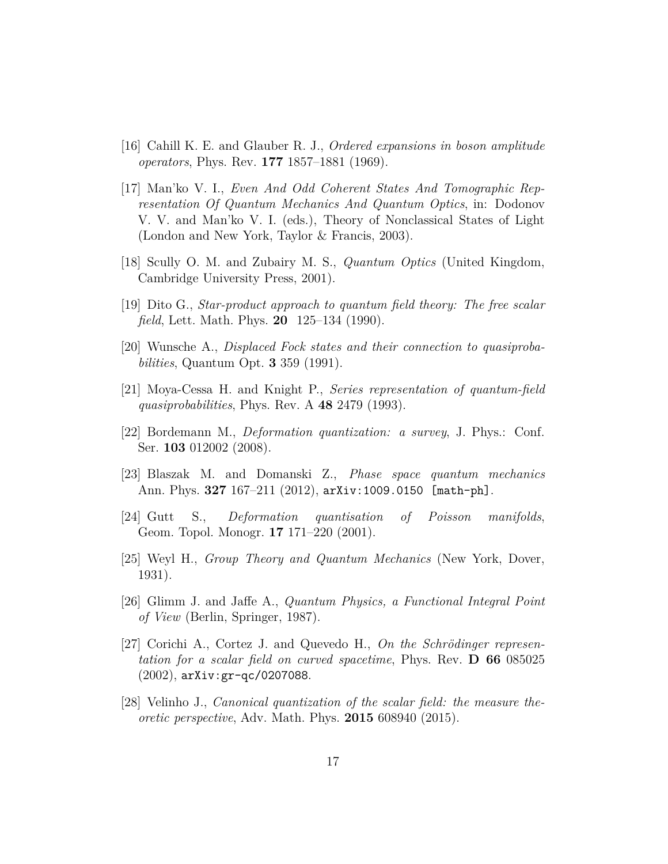- <span id="page-16-0"></span>[16] Cahill K. E. and Glauber R. J., *Ordered expansions in boson amplitude operators*, Phys. Rev. **177** 1857–1881 (1969).
- <span id="page-16-1"></span>[17] Man'ko V. I., *Even And Odd Coherent States And Tomographic Representation Of Quantum Mechanics And Quantum Optics*, in: Dodonov V. V. and Man'ko V. I. (eds.), Theory of Nonclassical States of Light (London and New York, Taylor & Francis, 2003).
- <span id="page-16-2"></span>[18] Scully O. M. and Zubairy M. S., *Quantum Optics* (United Kingdom, Cambridge University Press, 2001).
- <span id="page-16-3"></span>[19] Dito G., *Star-product approach to quantum field theory: The free scalar field*, Lett. Math. Phys. **20** 125–134 (1990).
- <span id="page-16-4"></span>[20] Wunsche A., *Displaced Fock states and their connection to quasiprobabilities*, Quantum Opt. **3** 359 (1991).
- <span id="page-16-5"></span>[21] Moya-Cessa H. and Knight P., *Series representation of quantum-field quasiprobabilities*, Phys. Rev. A **48** 2479 (1993).
- <span id="page-16-6"></span>[22] Bordemann M., *Deformation quantization: a survey*, J. Phys.: Conf. Ser. **103** 012002 (2008).
- <span id="page-16-7"></span>[23] Blaszak M. and Domanski Z., *Phase space quantum mechanics* Ann. Phys. **327** 167–211 (2012), arXiv:1009.0150 [math-ph].
- <span id="page-16-8"></span>[24] Gutt S., *Deformation quantisation of Poisson manifolds*, Geom. Topol. Monogr. **17** 171–220 (2001).
- <span id="page-16-9"></span>[25] Weyl H., *Group Theory and Quantum Mechanics* (New York, Dover, 1931).
- <span id="page-16-10"></span>[26] Glimm J. and Jaffe A., *Quantum Physics, a Functional Integral Point of View* (Berlin, Springer, 1987).
- <span id="page-16-11"></span>[27] Corichi A., Cortez J. and Quevedo H., On the Schrödinger represen*tation for a scalar field on curved spacetime*, Phys. Rev. **D 66** 085025 (2002), arXiv:gr-qc/0207088.
- <span id="page-16-12"></span>[28] Velinho J., *Canonical quantization of the scalar field: the measure theoretic perspective*, Adv. Math. Phys. **2015** 608940 (2015).